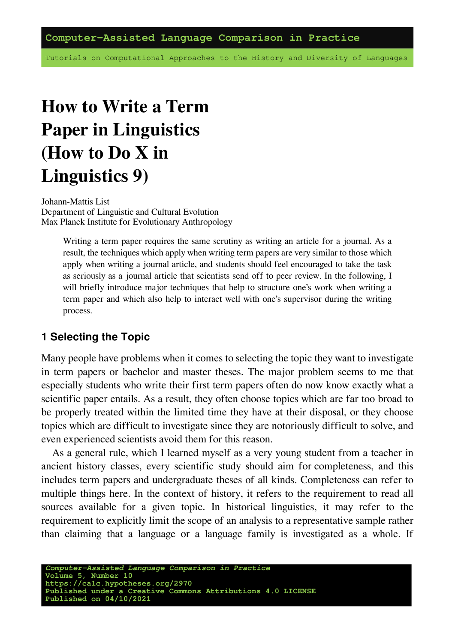Tutorials on Computational Approaches to the History and Diversity of Languages

# **How to Write a Term Paper in Linguistics (How to Do X in Linguistics 9)**

Johann-Mattis List Department of Linguistic and Cultural Evolution Max Planck Institute for Evolutionary Anthropology

> Writing a term paper requires the same scrutiny as writing an article for a journal. As a result, the techniques which apply when writing term papers are very similar to those which apply when writing a journal article, and students should feel encouraged to take the task as seriously as a journal article that scientists send off to peer review. In the following, I will briefly introduce major techniques that help to structure one's work when writing a term paper and which also help to interact well with one's supervisor during the writing process.

#### **1 Selecting the Topic**

Many people have problems when it comes to selecting the topic they want to investigate in term papers or bachelor and master theses. The major problem seems to me that especially students who write their first term papers often do now know exactly what a scientific paper entails. As a result, they often choose topics which are far too broad to be properly treated within the limited time they have at their disposal, or they choose topics which are difficult to investigate since they are notoriously difficult to solve, and even experienced scientists avoid them for this reason.

As a general rule, which I learned myself as a very young student from a teacher in ancient history classes, every scientific study should aim for completeness, and this includes term papers and undergraduate theses of all kinds. Completeness can refer to multiple things here. In the context of history, it refers to the requirement to read all sources available for a given topic. In historical linguistics, it may refer to the requirement to explicitly limit the scope of an analysis to a representative sample rather than claiming that a language or a language family is investigated as a whole. If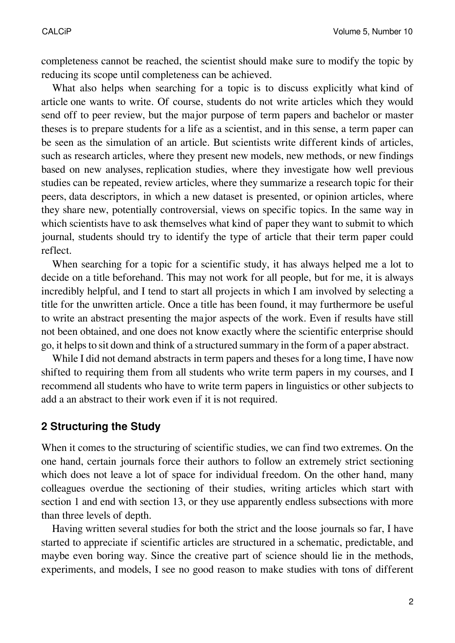completeness cannot be reached, the scientist should make sure to modify the topic by reducing its scope until completeness can be achieved.

What also helps when searching for a topic is to discuss explicitly what kind of article one wants to write. Of course, students do not write articles which they would send off to peer review, but the major purpose of term papers and bachelor or master theses is to prepare students for a life as a scientist, and in this sense, a term paper can be seen as the simulation of an article. But scientists write different kinds of articles, such as research articles, where they present new models, new methods, or new findings based on new analyses, replication studies, where they investigate how well previous studies can be repeated, review articles, where they summarize a research topic for their peers, data descriptors, in which a new dataset is presented, or opinion articles, where they share new, potentially controversial, views on specific topics. In the same way in which scientists have to ask themselves what kind of paper they want to submit to which journal, students should try to identify the type of article that their term paper could reflect.

When searching for a topic for a scientific study, it has always helped me a lot to decide on a title beforehand. This may not work for all people, but for me, it is always incredibly helpful, and I tend to start all projects in which I am involved by selecting a title for the unwritten article. Once a title has been found, it may furthermore be useful to write an abstract presenting the major aspects of the work. Even if results have still not been obtained, and one does not know exactly where the scientific enterprise should go, it helps to sit down and think of a structured summary in the form of a paper abstract.

While I did not demand abstracts in term papers and theses for a long time, I have now shifted to requiring them from all students who write term papers in my courses, and I recommend all students who have to write term papers in linguistics or other subjects to add a an abstract to their work even if it is not required.

### **2 Structuring the Study**

When it comes to the structuring of scientific studies, we can find two extremes. On the one hand, certain journals force their authors to follow an extremely strict sectioning which does not leave a lot of space for individual freedom. On the other hand, many colleagues overdue the sectioning of their studies, writing articles which start with section 1 and end with section 13, or they use apparently endless subsections with more than three levels of depth.

Having written several studies for both the strict and the loose journals so far, I have started to appreciate if scientific articles are structured in a schematic, predictable, and maybe even boring way. Since the creative part of science should lie in the methods, experiments, and models, I see no good reason to make studies with tons of different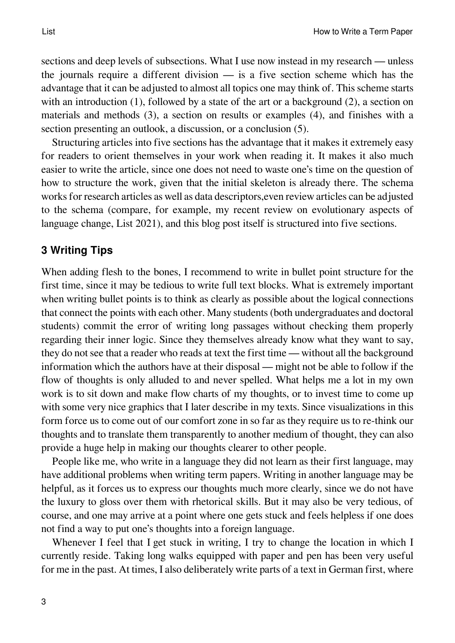sections and deep levels of subsections. What I use now instead in my research — unless the journals require a different division — is a five section scheme which has the advantage that it can be adjusted to almost all topics one may think of. This scheme starts with an introduction (1), followed by a state of the art or a background (2), a section on materials and methods (3), a section on results or examples (4), and finishes with a section presenting an outlook, a discussion, or a conclusion (5).

Structuring articles into five sections has the advantage that it makes it extremely easy for readers to orient themselves in your work when reading it. It makes it also much easier to write the article, since one does not need to waste one's time on the question of how to structure the work, given that the initial skeleton is already there. The schema works for research articles as well as data descriptors,even review articles can be adjusted to the schema (compare, for example, my recent review on evolutionary aspects of language change, [List 2021](https://digling.org/evobib/?bibtex=List2021PREPRINTc)), and this blog post itself is structured into five sections.

### **3 Writing Tips**

When adding flesh to the bones, I recommend to write in bullet point structure for the first time, since it may be tedious to write full text blocks. What is extremely important when writing bullet points is to think as clearly as possible about the logical connections that connect the points with each other. Many students (both undergraduates and doctoral students) commit the error of writing long passages without checking them properly regarding their inner logic. Since they themselves already know what they want to say, they do not see that a reader who reads at text the first time — without all the background information which the authors have at their disposal — might not be able to follow if the flow of thoughts is only alluded to and never spelled. What helps me a lot in my own work is to sit down and make flow charts of my thoughts, or to invest time to come up with some very nice graphics that I later describe in my texts. Since visualizations in this form force us to come out of our comfort zone in so far as they require us to re-think our thoughts and to translate them transparently to another medium of thought, they can also provide a huge help in making our thoughts clearer to other people.

People like me, who write in a language they did not learn as their first language, may have additional problems when writing term papers. Writing in another language may be helpful, as it forces us to express our thoughts much more clearly, since we do not have the luxury to gloss over them with rhetorical skills. But it may also be very tedious, of course, and one may arrive at a point where one gets stuck and feels helpless if one does not find a way to put one's thoughts into a foreign language.

Whenever I feel that I get stuck in writing, I try to change the location in which I currently reside. Taking long walks equipped with paper and pen has been very useful for me in the past. At times, I also deliberately write parts of a text in German first, where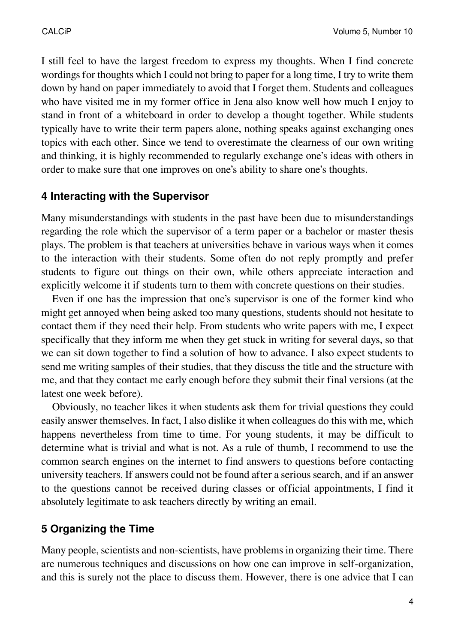I still feel to have the largest freedom to express my thoughts. When I find concrete wordings for thoughts which I could not bring to paper for a long time, I try to write them down by hand on paper immediately to avoid that I forget them. Students and colleagues who have visited me in my former office in Jena also know well how much I enjoy to stand in front of a whiteboard in order to develop a thought together. While students typically have to write their term papers alone, nothing speaks against exchanging ones topics with each other. Since we tend to overestimate the clearness of our own writing and thinking, it is highly recommended to regularly exchange one's ideas with others in order to make sure that one improves on one's ability to share one's thoughts.

## **4 Interacting with the Supervisor**

Many misunderstandings with students in the past have been due to misunderstandings regarding the role which the supervisor of a term paper or a bachelor or master thesis plays. The problem is that teachers at universities behave in various ways when it comes to the interaction with their students. Some often do not reply promptly and prefer students to figure out things on their own, while others appreciate interaction and explicitly welcome it if students turn to them with concrete questions on their studies.

Even if one has the impression that one's supervisor is one of the former kind who might get annoyed when being asked too many questions, students should not hesitate to contact them if they need their help. From students who write papers with me, I expect specifically that they inform me when they get stuck in writing for several days, so that we can sit down together to find a solution of how to advance. I also expect students to send me writing samples of their studies, that they discuss the title and the structure with me, and that they contact me early enough before they submit their final versions (at the latest one week before).

Obviously, no teacher likes it when students ask them for trivial questions they could easily answer themselves. In fact, I also dislike it when colleagues do this with me, which happens nevertheless from time to time. For young students, it may be difficult to determine what is trivial and what is not. As a rule of thumb, I recommend to use the common search engines on the internet to find answers to questions before contacting university teachers. If answers could not be found after a serious search, and if an answer to the questions cannot be received during classes or official appointments, I find it absolutely legitimate to ask teachers directly by writing an email.

## **5 Organizing the Time**

Many people, scientists and non-scientists, have problems in organizing their time. There are numerous techniques and discussions on how one can improve in self-organization, and this is surely not the place to discuss them. However, there is one advice that I can